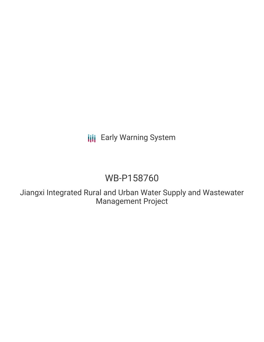## **III** Early Warning System

## WB-P158760

Jiangxi Integrated Rural and Urban Water Supply and Wastewater Management Project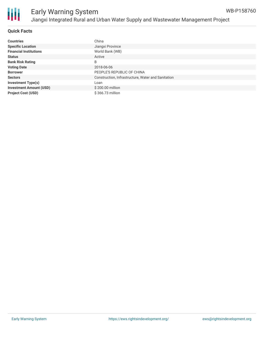



#### **Quick Facts**

| <b>Countries</b>               | China                                              |
|--------------------------------|----------------------------------------------------|
| <b>Specific Location</b>       | Jiangxi Province                                   |
| <b>Financial Institutions</b>  | World Bank (WB)                                    |
| <b>Status</b>                  | Active                                             |
| <b>Bank Risk Rating</b>        | B                                                  |
| <b>Voting Date</b>             | 2018-06-06                                         |
| <b>Borrower</b>                | PEOPLE'S REPUBLIC OF CHINA                         |
| <b>Sectors</b>                 | Construction, Infrastructure, Water and Sanitation |
| <b>Investment Type(s)</b>      | Loan                                               |
| <b>Investment Amount (USD)</b> | \$200.00 million                                   |
| <b>Project Cost (USD)</b>      | \$366.73 million                                   |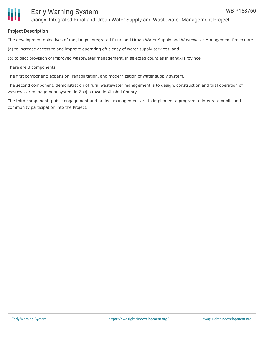#### **Project Description**

The development objectives of the Jiangxi Integrated Rural and Urban Water Supply and Wastewater Management Project are:

(a) to increase access to and improve operating efficiency of water supply services, and

(b) to pilot provision of improved wastewater management, in selected counties in Jiangxi Province.

There are 3 components:

The first component: expansion, rehabilitation, and modernization of water supply system.

The second component: demonstration of rural wastewater management is to design, construction and trial operation of wastewater management system in Zhajin town in Xiushui County.

The third component: public engagement and project management are to implement a program to integrate public and community participation into the Project.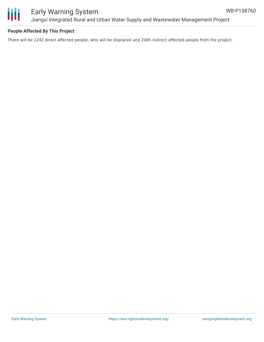

### Early Warning System Jiangxi Integrated Rural and Urban Water Supply and Wastewater Management Project

#### **People Affected By This Project**

There will be 1242 direct affected people, who will be displaced and 2085 indirect affected people from the project.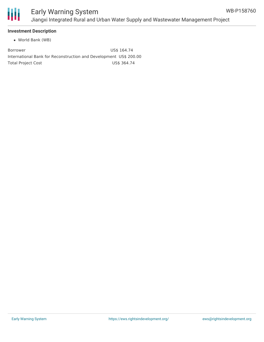

#### **Investment Description**

World Bank (WB)

Borrower US\$ 164.74 International Bank for Reconstruction and Development US\$ 200.00 Total Project Cost **US\$ 364.74**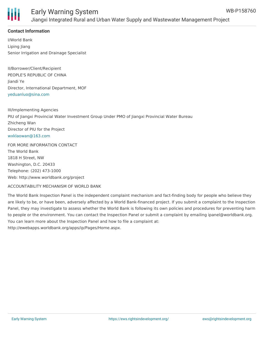

#### **Contact Information**

I/World Bank Liping Jiang Senior Irrigation and Drainage Specialist

II/Borrower/Client/Recipient PEOPLE'S REPUBLIC OF CHINA Jiandi Ye Director, International Department, MOF [yeduanluo@sina.com](mailto:yeduanluo@sina.com)

III/Implementing Agencies PIU of Jiangxi Provincial Water Investment Group Under PMO of Jiangxi Provincial Water Bureau Zhicheng Wan Director of PIU for the Project [wxklaowan@163.com](mailto:wxklaowan@163.com)

FOR MORE INFORMATION CONTACT The World Bank 1818 H Street, NW Washington, D.C. 20433 Telephone: (202) 473-1000 Web: http://www.worldbank.org/project

#### ACCOUNTABILITY MECHANISM OF WORLD BANK

The World Bank Inspection Panel is the independent complaint mechanism and fact-finding body for people who believe they are likely to be, or have been, adversely affected by a World Bank-financed project. If you submit a complaint to the Inspection Panel, they may investigate to assess whether the World Bank is following its own policies and procedures for preventing harm to people or the environment. You can contact the Inspection Panel or submit a complaint by emailing ipanel@worldbank.org. You can learn more about the Inspection Panel and how to file a complaint at: http://ewebapps.worldbank.org/apps/ip/Pages/Home.aspx.